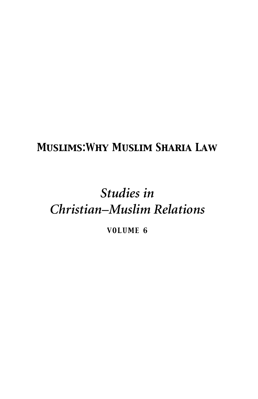## *Muslims:Why Muslim Sharia Law*

## *Studies in Christian–Muslim Relations*

*VOLUME 6*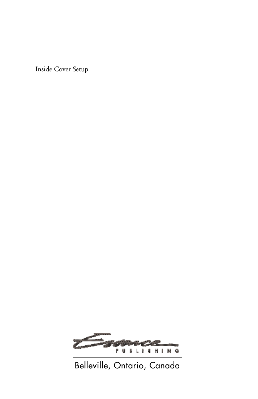Inside Cover Setup



## Belleville, Ontario, Canada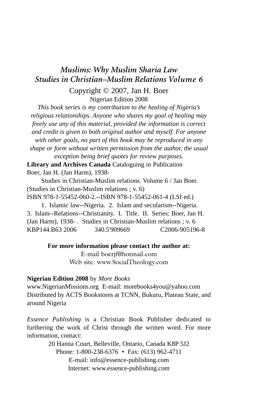### *Muslims: Why Muslim Sharia Law Studies in Christian–Muslim Relations Volume 6*

Copyright © 2007, Jan H. Boer Nigerian Edition 2008

*This book series is my contribution to the healing of Nigeria's religious relationships. Anyone who shares my goal of healing may freely use any of this material, provided the information is correct and credit is given to both original author and myself. For anyone with other goals, no part of this book may be reproduced in any shape or form without written permission from the author, the usual exception being brief quotes for review purposes.*

**Library and Archives Canada** Cataloguing in Publication Boer, Jan H. (Jan Harm), 1938-

Studies in Christian-Muslim relations. Volume 6 / Jan Boer. (Studies in Christian-Muslim relations ; v. 6)

ISBN 978-1-55452-060-2.--ISBN 978-1-55452-061-4 (LSI ed.)

1. Islamic law--Nigeria. 2. Islam and secularism--Nigeria. 3. Islam--Relations--Christianity. I. Title. II. Series: Boer, Jan H. (Jan Harm), 1938- . Studies in Christian-Muslim relations ; v. 6 KBP144.B63 2006 340.5'909669 C2006-905196-8

#### **For more information please contact the author at:**

E-mail boerjf@hotmail.com Web site: www.SocialTheology.com

#### **Nigerian Edition 2008** by *More Books*

www.NigerianMissions.org E-mail: morebooks4you@yahoo.com Distributed by ACTS Bookstores at TCNN, Bukuru, Plateau State, and around Nigeria

*Essence Publishing* is a Christian Book Publisher dedicated to furthering the work of Christ through the written word. For more information, contact:

> 20 Hanna Court, Belleville, Ontario, Canada K8P 5J2 Phone: 1-800-238-6376 • Fax: (613) 962-4711 E-mail: info@essence-publishing.com Internet: www.essence-publishing.com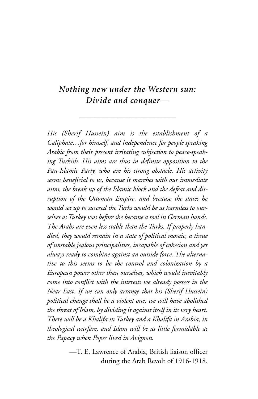### *Nothing new under the Western sun: Divide and conquer—*

\_\_\_\_\_\_\_\_\_\_\_\_\_\_\_\_\_\_\_\_\_\_\_\_\_\_\_\_\_\_\_\_\_

*His (Sherif Hussein) aim is the establishment of a Caliphate…for himself, and independence for people speaking Arabic from their present irritating subjection to peace-speaking Turkish. His aims are thus in definite opposition to the Pan-Islamic Party, who are his strong obstacle. His activity seems beneficial to us, because it marches with our immediate aims, the break up of the Islamic block and the defeat and disruption of the Ottoman Empire, and because the states he would set up to succeed the Turks would be as harmless to ourselves as Turkey was before she became a tool in German hands. The Arabs are even less stable than the Turks. If properly handled, they would remain in a state of political mosaic, a tissue of unstable jealous principalities, incapable of cohesion and yet always ready to combine against an outside force. The alternative to this seems to be the control and colonization by a European power other than ourselves, which would inevitably come into conflict with the interests we already possess in the Near East. If we can only arrange that his (Sherif Hussein) political change shall be a violent one, we will have abolished the threat of Islam, by dividing it against itself in its very heart. There will be a Khalifa in Turkey and a Khalifa in Arabia, in theological warfare, and Islam will be as little formidable as the Papacy when Popes lived in Avignon.*

> —T. E. Lawrence of Arabia, British liaison officer during the Arab Revolt of 1916-1918.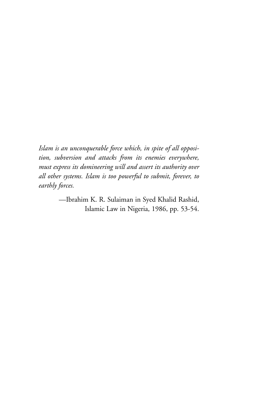*Islam is an unconquerable force which, in spite of all opposition, subversion and attacks from its enemies everywhere, must express its domineering will and assert its authority over all other systems. Islam is too powerful to submit, forever, to earthly forces.*

> —Ibrahim K. R. Sulaiman in Syed Khalid Rashid, Islamic Law in Nigeria, 1986, pp. 53-54.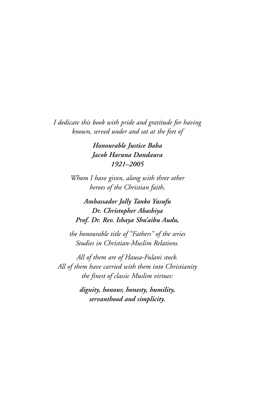*I dedicate this book with pride and gratitude for having known, served under and sat at the feet of* 

> *Honourable Justice Baba Jacob Haruna Dandaura 1921–2005*

*Whom I have given, along with three other heroes of the Christian faith,*

*Ambassador Jolly Tanko Yusufu Dr. Christopher Abashiya Prof. Dr. Rev. Ishaya Shu'aibu Audu,*

*the honourable title of "Fathers" of the series Studies in Christian-Muslim Relations.*

*All of them are of Hausa-Fulani stock. All of them have carried with them into Christianity the finest of classic Muslim virtues:*

> *dignity, honour, honesty, humility, servanthood and simplicity.*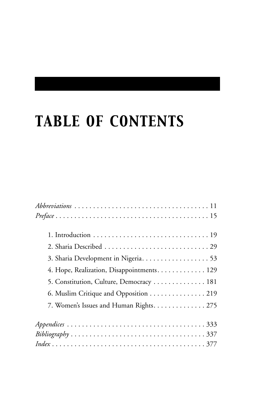# *TABLE OF CONTENTS*

| $Preface \ldots \ldots \ldots \ldots \ldots \ldots \ldots \ldots \ldots \ldots \ldots \ldots 15$              |
|---------------------------------------------------------------------------------------------------------------|
|                                                                                                               |
|                                                                                                               |
| 3. Sharia Development in Nigeria. 53                                                                          |
| 4. Hope, Realization, Disappointments. 129                                                                    |
| 5. Constitution, Culture, Democracy 181                                                                       |
| 6. Muslim Critique and Opposition 219                                                                         |
| 7. Women's Issues and Human Rights. 275                                                                       |
|                                                                                                               |
| $Bibliography \ldots \ldots \ldots \ldots \ldots \ldots \ldots \ldots \ldots \ldots \ldots \ldots \ldots 337$ |
|                                                                                                               |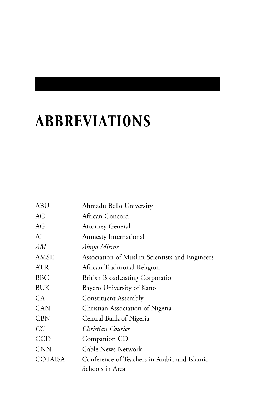# *ABBREVIATIONS*

| ABU             | Ahmadu Bello University                        |
|-----------------|------------------------------------------------|
| AС              | African Concord                                |
| AG              | <b>Attorney General</b>                        |
| AI              | <b>Amnesty International</b>                   |
| AМ              | Abuja Mirror                                   |
| <b>AMSE</b>     | Association of Muslim Scientists and Engineers |
| ATR             | African Traditional Religion                   |
| <b>BBC</b>      | <b>British Broadcasting Corporation</b>        |
| <b>BUK</b>      | Bayero University of Kano                      |
| CA <sup>-</sup> | <b>Constituent Assembly</b>                    |
| <b>CAN</b>      | Christian Association of Nigeria               |
| <b>CBN</b>      | Central Bank of Nigeria                        |
| CC              | Christian Courier                              |
| <b>CCD</b>      | Companion CD                                   |
| <b>CNN</b>      | Cable News Network                             |
| <b>COTAISA</b>  | Conference of Teachers in Arabic and Islamic   |
|                 | Schools in Area                                |
|                 |                                                |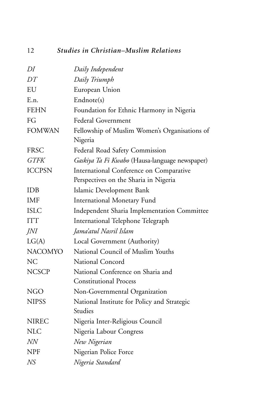## 12 *Studies in Christian–Muslim Relations*

| DI             | Daily Independent                              |
|----------------|------------------------------------------------|
| DT             | Daily Triumph                                  |
| EU             | European Union                                 |
| E.n.           | Endnote(s)                                     |
| <b>FEHN</b>    | Foundation for Ethnic Harmony in Nigeria       |
| FG             | <b>Federal Government</b>                      |
| <b>FOMWAN</b>  | Fellowship of Muslim Women's Organisations of  |
|                | Nigeria                                        |
| <b>FRSC</b>    | Federal Road Safety Commission                 |
| <b>GTFK</b>    | Gaskiya Ta Fi Kwabo (Hausa-language newspaper) |
| <b>ICCPSN</b>  | International Conference on Comparative        |
|                | Perspectives on the Sharia in Nigeria          |
| IDB            | Islamic Development Bank                       |
| <b>IMF</b>     | International Monetary Fund                    |
| <b>ISLC</b>    | Independent Sharia Implementation Committee    |
| <b>ITT</b>     | International Telephone Telegraph              |
| JNI            | Jama'atul Nasril Islam                         |
| LG(A)          | Local Government (Authority)                   |
| <b>NACOMYO</b> | National Council of Muslim Youths              |
| <b>NC</b>      | National Concord                               |
| <b>NCSCP</b>   | National Conference on Sharia and              |
|                | <b>Constitutional Process</b>                  |
| <b>NGO</b>     | Non-Governmental Organization                  |
| <b>NIPSS</b>   | National Institute for Policy and Strategic    |
|                | Studies                                        |
| <b>NIREC</b>   | Nigeria Inter-Religious Council                |
| <b>NLC</b>     | Nigeria Labour Congress                        |
| NN             | New Nigerian                                   |
| <b>NPF</b>     | Nigerian Police Force                          |
| NS             | Nigeria Standard                               |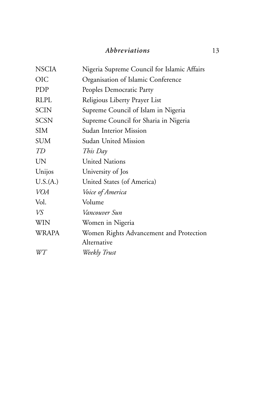### *Abbreviations* 13

| <b>NSCIA</b> | Nigeria Supreme Council for Islamic Affairs |
|--------------|---------------------------------------------|
| <b>OIC</b>   | Organisation of Islamic Conference          |
| PDP          | Peoples Democratic Party                    |
| <b>RLPL</b>  | Religious Liberty Prayer List               |
| <b>SCIN</b>  | Supreme Council of Islam in Nigeria         |
| <b>SCSN</b>  | Supreme Council for Sharia in Nigeria       |
| SIM          | Sudan Interior Mission                      |
| <b>SUM</b>   | Sudan United Mission                        |
| TD           | This Day                                    |
| UN           | <b>United Nations</b>                       |
| Unijos       | University of Jos                           |
| U.S.(A.)     | United States (of America)                  |
| <b>VOA</b>   | Voice of America                            |
| Vol.         | Volume                                      |
| VS           | Vancouver Sun                               |
| <b>WIN</b>   | Women in Nigeria                            |
| <b>WRAPA</b> | Women Rights Advancement and Protection     |
|              | Alternative                                 |
| WT           | Weekly Trust                                |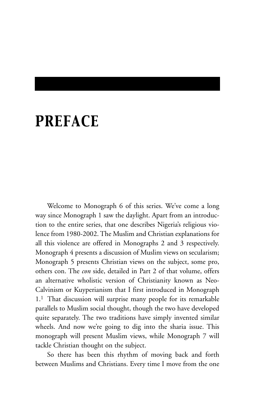# *PREFACE*

Welcome to Monograph 6 of this series. We've come a long way since Monograph 1 saw the daylight. Apart from an introduction to the entire series, that one describes Nigeria's religious violence from 1980-2002. The Muslim and Christian explanations for all this violence are offered in Monographs 2 and 3 respectively. Monograph 4 presents a discussion of Muslim views on secularism; Monograph 5 presents Christian views on the subject, some pro, others con. The *con* side, detailed in Part 2 of that volume, offers an alternative wholistic version of Christianity known as Neo-Calvinism or Kuyperianism that I first introduced in Monograph 1.1 That discussion will surprise many people for its remarkable parallels to Muslim social thought, though the two have developed quite separately. The two traditions have simply invented similar wheels. And now we're going to dig into the sharia issue. This monograph will present Muslim views, while Monograph 7 will tackle Christian thought on the subject.

So there has been this rhythm of moving back and forth between Muslims and Christians. Every time I move from the one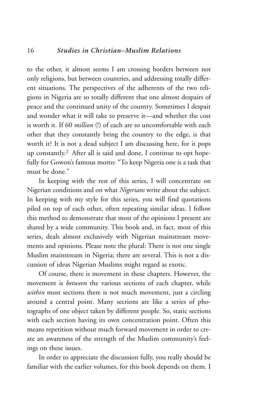to the other, it almost seems I am crossing borders between not only religions, but between countries, and addressing totally different situations. The perspectives of the adherents of the two religions in Nigeria are so totally different that one almost despairs of peace and the continued unity of the country. Sometimes I despair and wonder what it will take to preserve it—and whether the cost is worth it. If 60 *million* (!) of each are so uncomfortable with each other that they constantly bring the country to the edge, is that worth it? It is not a dead subject I am discussing here, for it pops up constantly.2 After all is said and done, I continue to opt hopefully for Gowon's famous motto: "To keep Nigeria one is a task that must be done."

In keeping with the rest of this series, I will concentrate on Nigerian conditions and on what *Nigerians* write about the subject. In keeping with my style for this series, you will find quotations piled on top of each other, often repeating similar ideas. I follow this method to demonstrate that most of the opinions I present are shared by a wide community. This book and, in fact, most of this series, deals almost exclusively with Nigerian mainstream movements and opinions. Please note the plural: There is not one single Muslim mainstream in Nigeria; there are several. This is not a discussion of ideas Nigerian Muslims might regard as exotic.

Of course, there is movement in these chapters. However, the movement is *between* the various sections of each chapter, while *within* most sections there is not much movement, just a circling around a central point. Many sections are like a series of photographs of one object taken by different people. So, static sections with each section having its own concentration point. Often this means repetition without much forward movement in order to create an awareness of the strength of the Muslim community's feelings on these issues.

In order to appreciate the discussion fully, you really should be familiar with the earlier volumes, for this book depends on them. I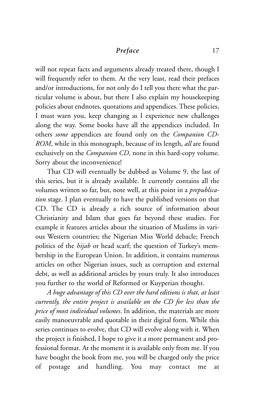### Preface 17

will not repeat facts and arguments already treated there, though I will frequently refer to them. At the very least, read their prefaces and/or introductions, for not only do I tell you there what the particular volume is about, but there I also explain my housekeeping policies about endnotes, quotations and appendices. These policies, I must warn you, keep changing as I experience new challenges along the way. Some books have all the appendices included. In others *some* appendices are found only on the *Companion CD-ROM*, while in this monograph, because of its length, *all* are found exclusively on the *Companion CD*, none in this hard-copy volume. Sorry about the inconvenience!

That CD will eventually be dubbed as Volume 9, the last of this series, but it is already available. It currently contains all the volumes written so far, but, note well, at this point in a *prepublication* stage. I plan eventually to have the published versions on that CD. The CD is already a rich source of information about Christianity and Islam that goes far beyond these studies. For example it features articles about the situation of Muslims in various Western countries; the Nigerian Miss World debacle; French politics of the *hijab* or head scarf; the question of Turkey's membership in the European Union. In addition, it contains numerous articles on other Nigerian issues, such as corruption and external debt, as well as additional articles by yours truly. It also introduces you further to the world of Reformed or Kuyperian thought.

*A huge advantage of this CD over the hard editions is that, at least currently, the entire project is available on the CD for less than the price of most individual volumes*. In addition, the materials are more easily manoeuvrable and quotable in their digital form. While this series continues to evolve, that CD will evolve along with it. When the project is finished, I hope to give it a more permanent and professional format. At the moment it is available only from me. If you have bought the book from me, you will be charged only the price of postage and handling. You may contact me at